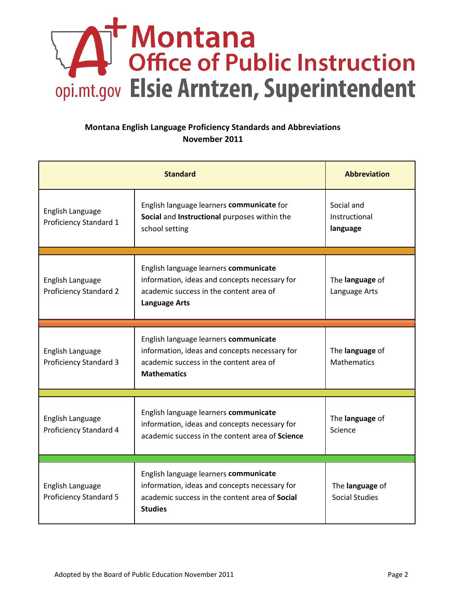## Montana<br>
Office of Public Instruction<br>
opi.mt.gov Elsie Arntzen, Superintendent

## **Montana English Language Proficiency Standards and Abbreviations November 2011**

| <b>Standard</b>                                   |                                                                                                                                                            | <b>Abbreviation</b>                      |
|---------------------------------------------------|------------------------------------------------------------------------------------------------------------------------------------------------------------|------------------------------------------|
| English Language<br>Proficiency Standard 1        | English language learners communicate for<br>Social and Instructional purposes within the<br>school setting                                                | Social and<br>Instructional<br>language  |
| English Language<br><b>Proficiency Standard 2</b> | English language learners communicate<br>information, ideas and concepts necessary for<br>academic success in the content area of<br><b>Language Arts</b>  | The language of<br>Language Arts         |
| English Language<br><b>Proficiency Standard 3</b> | English language learners communicate<br>information, ideas and concepts necessary for<br>academic success in the content area of<br><b>Mathematics</b>    | The language of<br><b>Mathematics</b>    |
| English Language<br>Proficiency Standard 4        | English language learners communicate<br>information, ideas and concepts necessary for<br>academic success in the content area of Science                  | The language of<br>Science               |
| English Language<br><b>Proficiency Standard 5</b> | English language learners communicate<br>information, ideas and concepts necessary for<br>academic success in the content area of Social<br><b>Studies</b> | The language of<br><b>Social Studies</b> |